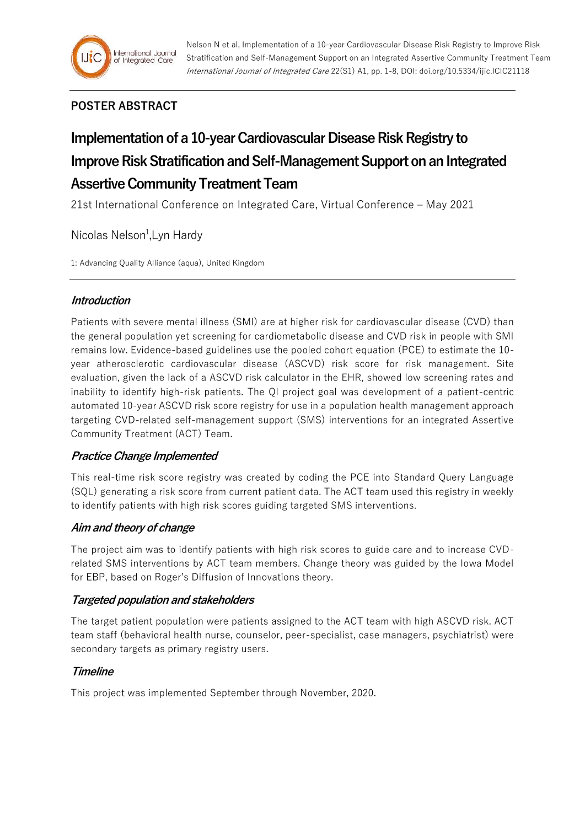## **POSTER ABSTRACT**

# **Implementation of a 10-year Cardiovascular Disease Risk Registry to Improve Risk Stratification and Self-Management Support on an Integrated Assertive Community Treatment Team**

21st International Conference on Integrated Care, Virtual Conference – May 2021

Nicolas Nelson<sup>1</sup>, Lyn Hardy

1: Advancing Quality Alliance (aqua), United Kingdom

## **Introduction**

Patients with severe mental illness (SMI) are at higher risk for cardiovascular disease (CVD) than the general population yet screening for cardiometabolic disease and CVD risk in people with SMI remains low. Evidence-based guidelines use the pooled cohort equation (PCE) to estimate the 10 year atherosclerotic cardiovascular disease (ASCVD) risk score for risk management. Site evaluation, given the lack of a ASCVD risk calculator in the EHR, showed low screening rates and inability to identify high-risk patients. The QI project goal was development of a patient-centric automated 10-year ASCVD risk score registry for use in a population health management approach targeting CVD-related self-management support (SMS) interventions for an integrated Assertive Community Treatment (ACT) Team.

## **Practice Change Implemented**

This real-time risk score registry was created by coding the PCE into Standard Query Language (SQL) generating a risk score from current patient data. The ACT team used this registry in weekly to identify patients with high risk scores guiding targeted SMS interventions.

## **Aim and theory of change**

The project aim was to identify patients with high risk scores to guide care and to increase CVDrelated SMS interventions by ACT team members. Change theory was guided by the Iowa Model for EBP, based on Roger's Diffusion of Innovations theory.

## **Targeted population and stakeholders**

The target patient population were patients assigned to the ACT team with high ASCVD risk. ACT team staff (behavioral health nurse, counselor, peer-specialist, case managers, psychiatrist) were secondary targets as primary registry users.

## **Timeline**

This project was implemented September through November, 2020.